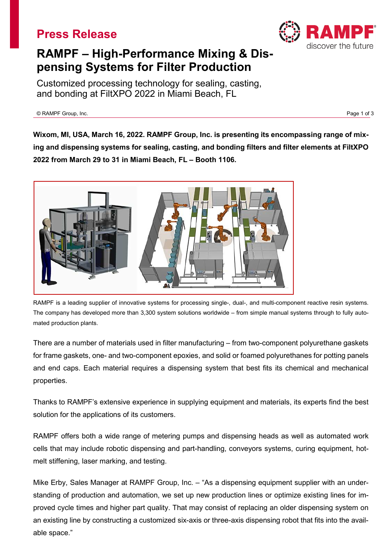## **Press Release**



# **RAMPF – High-Performance Mixing & Dispensing Systems for Filter Production**

Customized processing technology for sealing, casting, and bonding at FiltXPO 2022 in Miami Beach, FL

© RAMPF Group, Inc. Page 1 of 3

**Wixom, MI, USA, March 16, 2022. RAMPF Group, Inc. is presenting its encompassing range of mixing and dispensing systems for sealing, casting, and bonding filters and filter elements at FiltXPO 2022 from March 29 to 31 in Miami Beach, FL – Booth 1106.**



RAMPF is a leading supplier of innovative systems for processing single-, dual-, and multi-component reactive resin systems. The company has developed more than 3,300 system solutions worldwide – from simple manual systems through to fully automated production plants.

There are a number of materials used in filter manufacturing – from two-component polyurethane gaskets for frame gaskets, one- and two-component epoxies, and solid or foamed polyurethanes for potting panels and end caps. Each material requires a dispensing system that best fits its chemical and mechanical properties.

Thanks to RAMPF's extensive experience in supplying equipment and materials, its experts find the best solution for the applications of its customers.

RAMPF offers both a wide range of metering pumps and dispensing heads as well as automated work cells that may include robotic dispensing and part-handling, conveyors systems, curing equipment, hotmelt stiffening, laser marking, and testing.

Mike Erby, Sales Manager at RAMPF Group, Inc. – "As a dispensing equipment supplier with an understanding of production and automation, we set up new production lines or optimize existing lines for improved cycle times and higher part quality. That may consist of replacing an older dispensing system on an existing line by constructing a customized six-axis or three-axis dispensing robot that fits into the available space."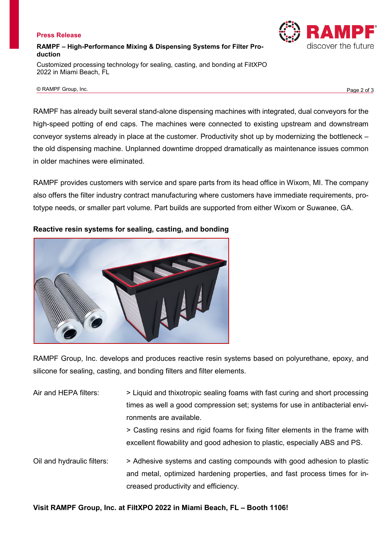#### **Press Release**

## **RAMPF – High-Performance Mixing & Dispensing Systems for Filter Production**

Customized processing technology for sealing, casting, and bonding at FiltXPO 2022 in Miami Beach, FL

© RAMPF Group, Inc. Page 2 of 3

RAMPF has already built several stand-alone dispensing machines with integrated, dual conveyors for the high-speed potting of end caps. The machines were connected to existing upstream and downstream conveyor systems already in place at the customer. Productivity shot up by modernizing the bottleneck – the old dispensing machine. Unplanned downtime dropped dramatically as maintenance issues common in older machines were eliminated.

RAMPF provides customers with service and spare parts from its head office in Wixom, MI. The company also offers the filter industry contract manufacturing where customers have immediate requirements, prototype needs, or smaller part volume. Part builds are supported from either Wixom or Suwanee, GA.

## **Reactive resin systems for sealing, casting, and bonding**



RAMPF Group, Inc. develops and produces reactive resin systems based on polyurethane, epoxy, and silicone for sealing, casting, and bonding filters and filter elements.

| Air and HEPA filters:      | > Liquid and thixotropic sealing foams with fast curing and short processing<br>times as well a good compression set; systems for use in antibacterial envi-<br>ronments are available.<br>> Casting resins and rigid foams for fixing filter elements in the frame with<br>excellent flowability and good adhesion to plastic, especially ABS and PS. |
|----------------------------|--------------------------------------------------------------------------------------------------------------------------------------------------------------------------------------------------------------------------------------------------------------------------------------------------------------------------------------------------------|
| Oil and hydraulic filters: | > Adhesive systems and casting compounds with good adhesion to plastic<br>and metal, optimized hardening properties, and fast process times for in-<br>creased productivity and efficiency.                                                                                                                                                            |

**Visit RAMPF Group, Inc. at FiltXPO 2022 in Miami Beach, FL – Booth 1106!**